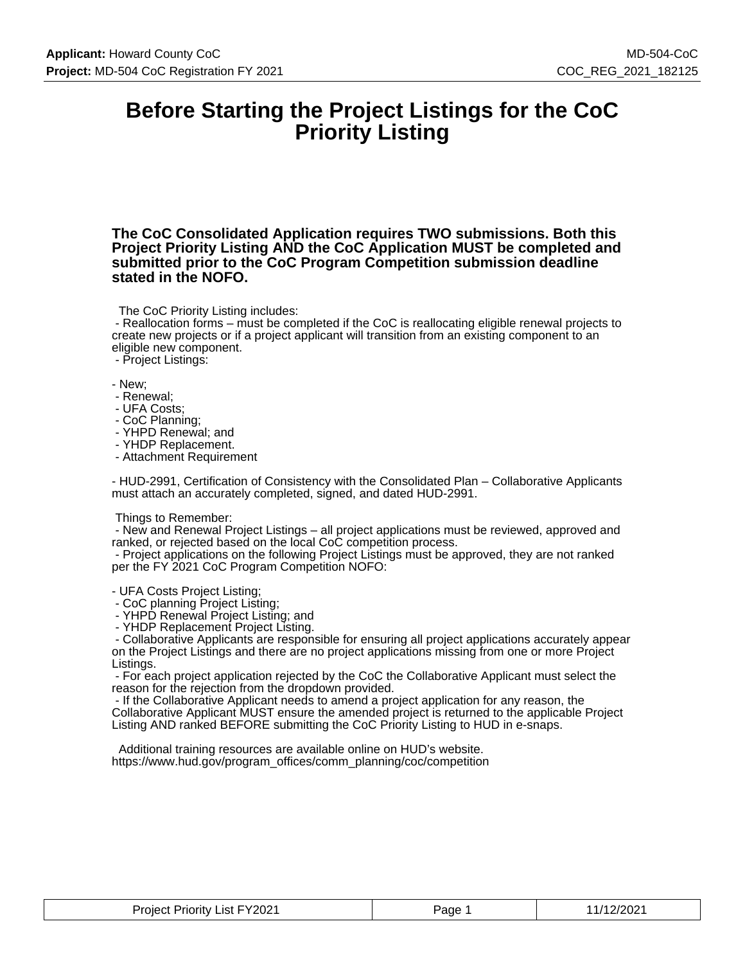### **Before Starting the Project Listings for the CoC Priority Listing**

**The CoC Consolidated Application requires TWO submissions. Both this Project Priority Listing AND the CoC Application MUST be completed and submitted prior to the CoC Program Competition submission deadline stated in the NOFO.**

The CoC Priority Listing includes:

 - Reallocation forms – must be completed if the CoC is reallocating eligible renewal projects to create new projects or if a project applicant will transition from an existing component to an eligible new component.

- Project Listings:

- New;

- Renewal;
- UFA Costs;
- CoC Planning;
- YHPD Renewal; and
- YHDP Replacement.
- Attachment Requirement

- HUD-2991, Certification of Consistency with the Consolidated Plan – Collaborative Applicants must attach an accurately completed, signed, and dated HUD-2991.

#### Things to Remember:

 - New and Renewal Project Listings – all project applications must be reviewed, approved and ranked, or rejected based on the local CoC competition process.

 - Project applications on the following Project Listings must be approved, they are not ranked per the FY 2021 CoC Program Competition NOFO:

- UFA Costs Project Listing;

- CoC planning Project Listing;

- YHPD Renewal Project Listing; and

- YHDP Replacement Project Listing.

 - Collaborative Applicants are responsible for ensuring all project applications accurately appear on the Project Listings and there are no project applications missing from one or more Project Listings.

 - For each project application rejected by the CoC the Collaborative Applicant must select the reason for the rejection from the dropdown provided.

 - If the Collaborative Applicant needs to amend a project application for any reason, the Collaborative Applicant MUST ensure the amended project is returned to the applicable Project Listing AND ranked BEFORE submitting the CoC Priority Listing to HUD in e-snaps.

 Additional training resources are available online on HUD's website. https://www.hud.gov/program\_offices/comm\_planning/coc/competition

| List FY2021<br>Priority<br>Proiect<br>_______ | Page | 2/2021 |
|-----------------------------------------------|------|--------|
|-----------------------------------------------|------|--------|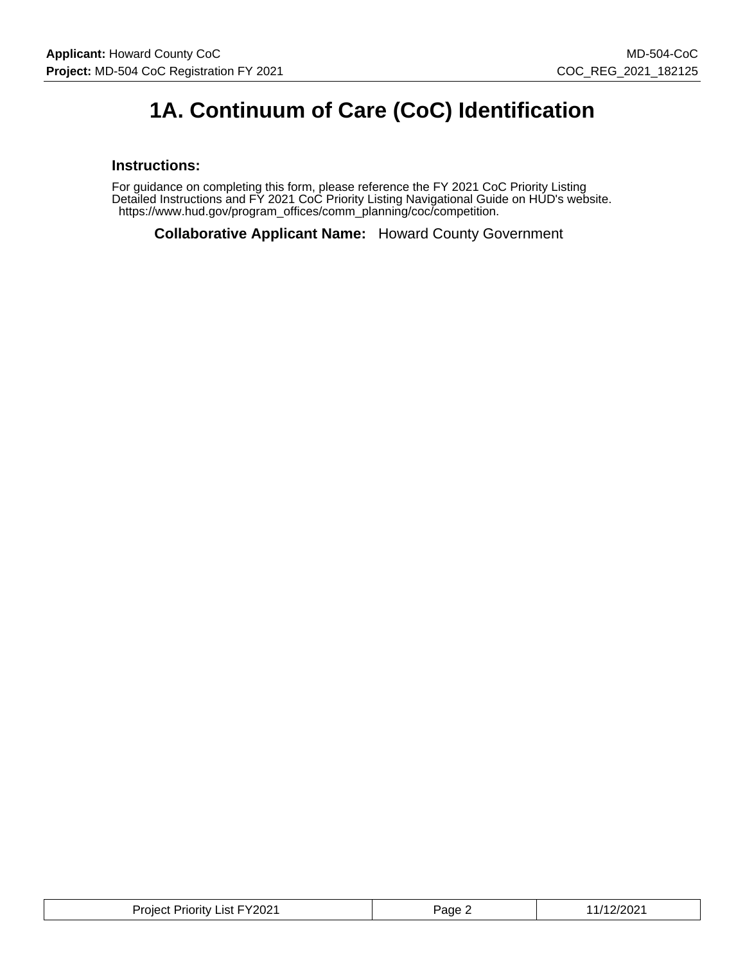# **1A. Continuum of Care (CoC) Identification**

#### **Instructions:**

For guidance on completing this form, please reference the FY 2021 CoC Priority Listing Detailed Instructions and FY 2021 CoC Priority Listing Navigational Guide on HUD's website. https://www.hud.gov/program\_offices/comm\_planning/coc/competition.

**Collaborative Applicant Name:** Howard County Government

| Project Priority List FY2021 | Page 2 | 11/12/2021 |
|------------------------------|--------|------------|
|------------------------------|--------|------------|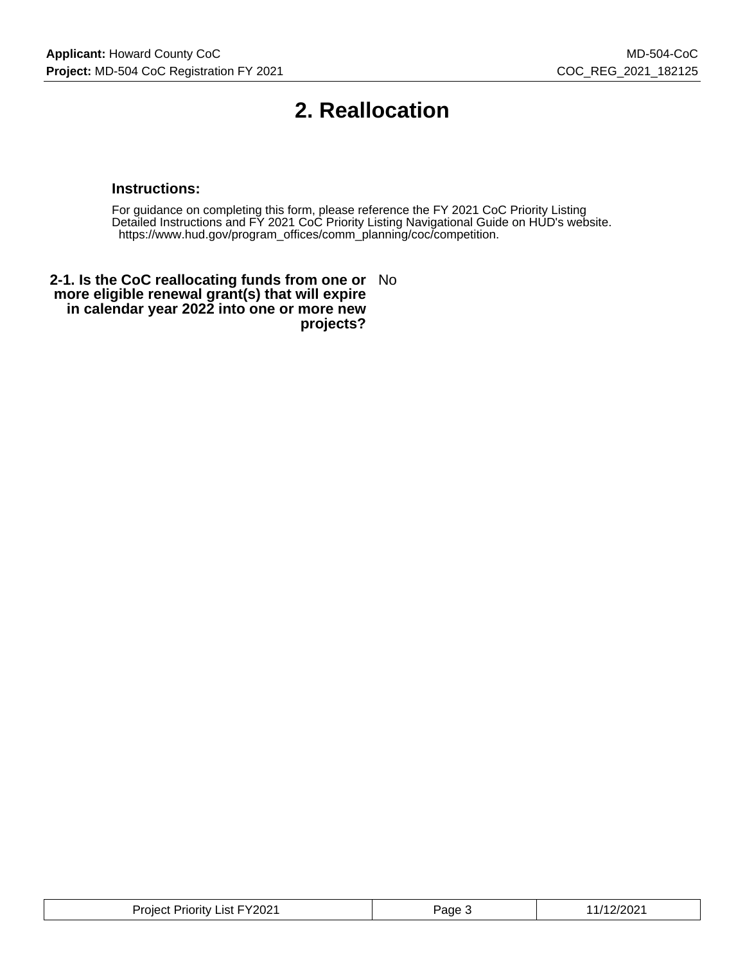## **2. Reallocation**

#### **Instructions:**

For guidance on completing this form, please reference the FY 2021 CoC Priority Listing Detailed Instructions and FY 2021 CoC Priority Listing Navigational Guide on HUD's website. https://www.hud.gov/program\_offices/comm\_planning/coc/competition.

**2-1. Is the CoC reallocating funds from one or** No **more eligible renewal grant(s) that will expire in calendar year 2022 into one or more new projects?**

| .FY2021<br>Project<br>_ıst<br>Priority. | ∍aαe | ″∠∪∠ |
|-----------------------------------------|------|------|
|-----------------------------------------|------|------|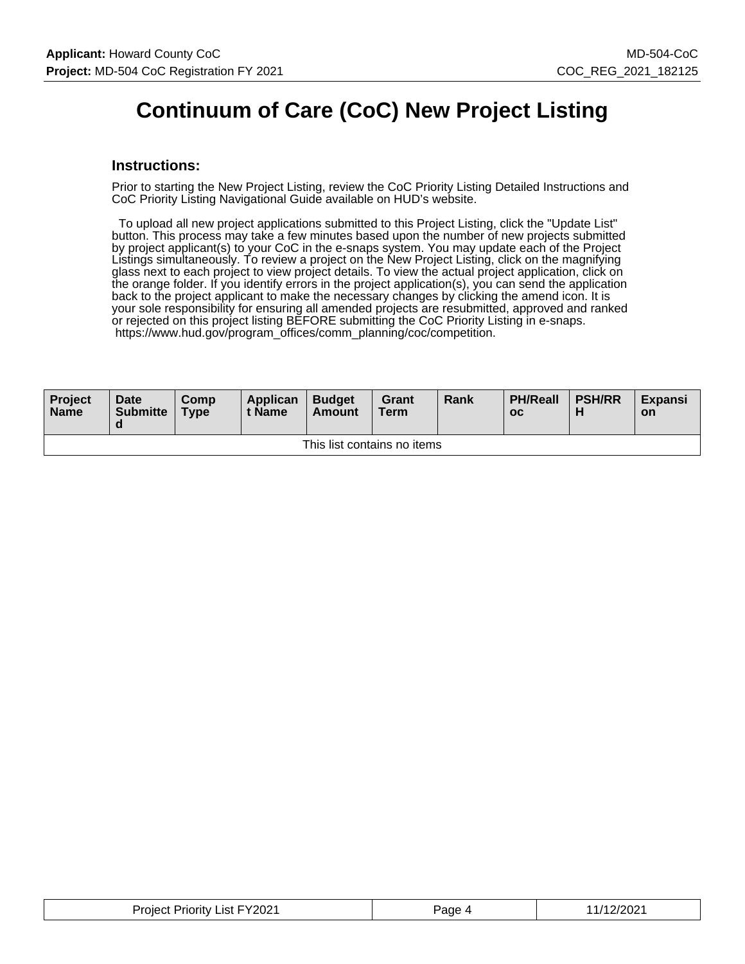### **Continuum of Care (CoC) New Project Listing**

#### **Instructions:**

Prior to starting the New Project Listing, review the CoC Priority Listing Detailed Instructions and CoC Priority Listing Navigational Guide available on HUD's website.

 To upload all new project applications submitted to this Project Listing, click the "Update List" button. This process may take a few minutes based upon the number of new projects submitted by project applicant(s) to your CoC in the e-snaps system. You may update each of the Project Listings simultaneously. To review a project on the New Project Listing, click on the magnifying glass next to each project to view project details. To view the actual project application, click on the orange folder. If you identify errors in the project application(s), you can send the application back to the project applicant to make the necessary changes by clicking the amend icon. It is your sole responsibility for ensuring all amended projects are resubmitted, approved and ranked or rejected on this project listing BEFORE submitting the CoC Priority Listing in e-snaps. https://www.hud.gov/program\_offices/comm\_planning/coc/competition.

| Project<br><b>Name</b>      | <b>Date</b><br><b>Submitte</b><br>a | Comp<br><b>Type</b> | Applican<br>t Name | <b>Budget</b><br>Amount | Grant<br><b>Term</b> | Rank | <b>PH/Reall</b><br>$_{\rm oc}$ | <b>PSH/RR</b> | <b>Expansi</b><br><b>on</b> |
|-----------------------------|-------------------------------------|---------------------|--------------------|-------------------------|----------------------|------|--------------------------------|---------------|-----------------------------|
| This list contains no items |                                     |                     |                    |                         |                      |      |                                |               |                             |

| <b>Project Priority List FY2021</b> | Page | /12/2021 |
|-------------------------------------|------|----------|
|-------------------------------------|------|----------|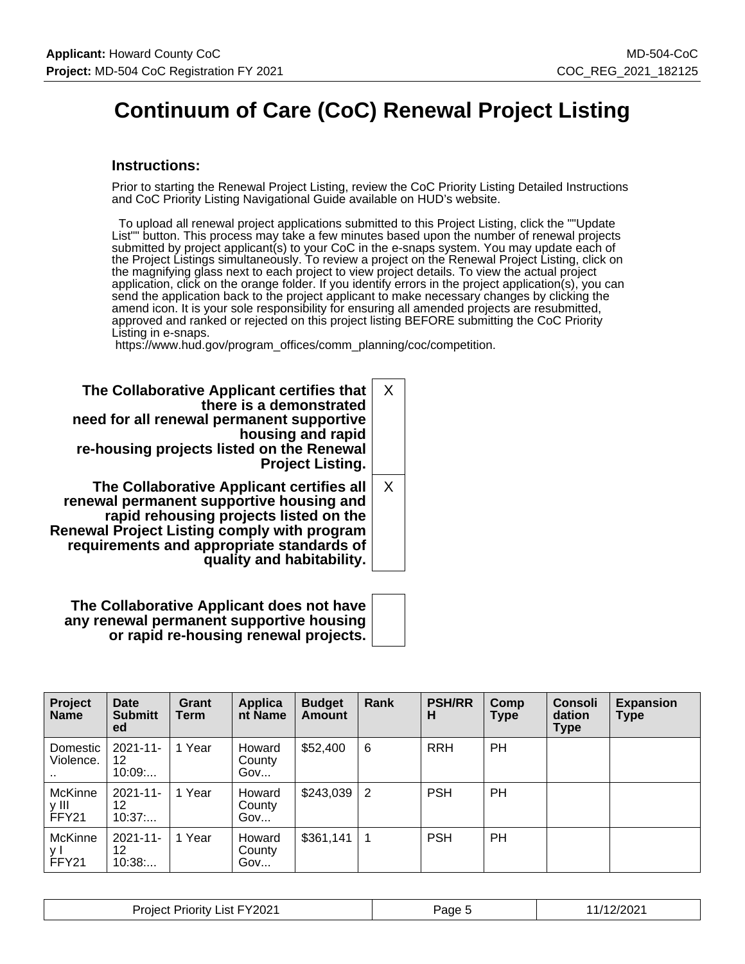## **Continuum of Care (CoC) Renewal Project Listing**

#### **Instructions:**

Prior to starting the Renewal Project Listing, review the CoC Priority Listing Detailed Instructions and CoC Priority Listing Navigational Guide available on HUD's website.

 To upload all renewal project applications submitted to this Project Listing, click the ""Update List"" button. This process may take a few minutes based upon the number of renewal projects submitted by project applicant(s) to your CoC in the e-snaps system. You may update each of the Project Listings simultaneously. To review a project on the Renewal Project Listing, click on the magnifying glass next to each project to view project details. To view the actual project application, click on the orange folder. If you identify errors in the project application(s), you can send the application back to the project applicant to make necessary changes by clicking the amend icon. It is your sole responsibility for ensuring all amended projects are resubmitted, approved and ranked or rejected on this project listing BEFORE submitting the CoC Priority Listing in e-snaps.

https://www.hud.gov/program\_offices/comm\_planning/coc/competition.

| The Collaborative Applicant certifies that<br>there is a demonstrated<br>need for all renewal permanent supportive<br>housing and rapid<br>re-housing projects listed on the Renewal<br><b>Project Listing.</b>                                                 | X        |
|-----------------------------------------------------------------------------------------------------------------------------------------------------------------------------------------------------------------------------------------------------------------|----------|
| The Collaborative Applicant certifies all<br>renewal permanent supportive housing and<br>rapid rehousing projects listed on the<br><b>Renewal Project Listing comply with program</b><br>requirements and appropriate standards of<br>quality and habitability. | $\times$ |

**The Collaborative Applicant does not have any renewal permanent supportive housing or rapid re-housing renewal projects.**

| Project<br><b>Name</b>    | <b>Date</b><br><b>Submitt</b><br>ed | Grant<br><b>Term</b> | Applica<br>nt Name      | <b>Budget</b><br><b>Amount</b> | Rank            | <b>PSH/RR</b><br>н | Comp<br>Type | <b>Consoli</b><br>dation<br><b>Type</b> | <b>Expansion</b><br><b>Type</b> |
|---------------------------|-------------------------------------|----------------------|-------------------------|--------------------------------|-----------------|--------------------|--------------|-----------------------------------------|---------------------------------|
| Domestic<br>Violence.<br> | $2021 - 11 -$<br>12<br>10:09        | 1 Year               | Howard<br>County<br>Gov | \$52,400                       | 6               | <b>RRH</b>         | <b>PH</b>    |                                         |                                 |
| McKinne<br>y III<br>FFY21 | $2021 - 11 -$<br>12<br>10:37        | Year<br>1.           | Howard<br>County<br>Gov | \$243,039                      | $\vert 2 \vert$ | <b>PSH</b>         | PH           |                                         |                                 |
| McKinne<br>ν I<br>FFY21   | $2021 - 11 -$<br>12<br>10:38        | 1 Year               | Howard<br>County<br>Gov | \$361,141                      |                 | <b>PSH</b>         | PH           |                                         |                                 |

| List FY2021<br><b>Project Priority</b> | Page 5 | 1/12/2021 |
|----------------------------------------|--------|-----------|
|----------------------------------------|--------|-----------|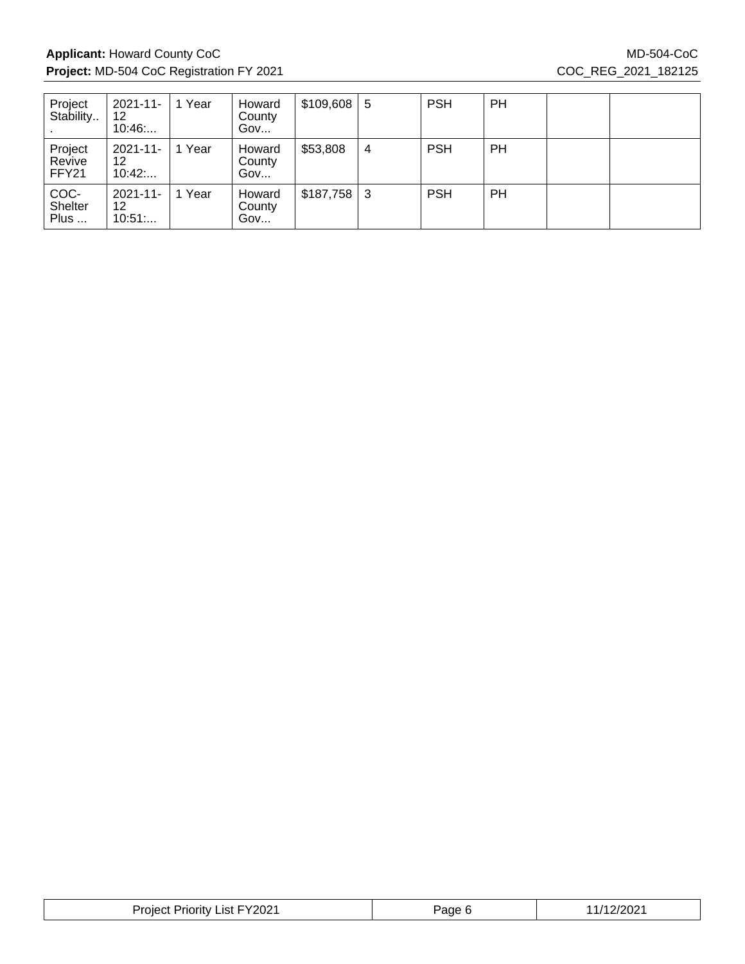### Applicant: Howard County CoC MD-504-CoC MD-504-CoC **Project:** MD-504 CoC Registration FY 2021 COC\_REG\_2021\_182125

| Project<br>Stability       | 2021-11-<br>12<br>10:46      | Year | Howard<br>County<br>Gov | $$109,608$ 5   |   | <b>PSH</b> | PH        |  |
|----------------------------|------------------------------|------|-------------------------|----------------|---|------------|-----------|--|
| Project<br>Revive<br>FFY21 | $2021 - 11 -$<br>12<br>10:42 | Year | Howard<br>County<br>Gov | \$53,808       | 4 | <b>PSH</b> | <b>PH</b> |  |
| COC-<br>Shelter<br>Plus    | $2021 - 11$<br>12<br>10:51   | Year | Howard<br>County<br>Gov | $$187,758$   3 |   | <b>PSH</b> | PH        |  |

| FY2021<br>Project<br>_ıst -<br>` Priority | Page | :/2021 |
|-------------------------------------------|------|--------|
|-------------------------------------------|------|--------|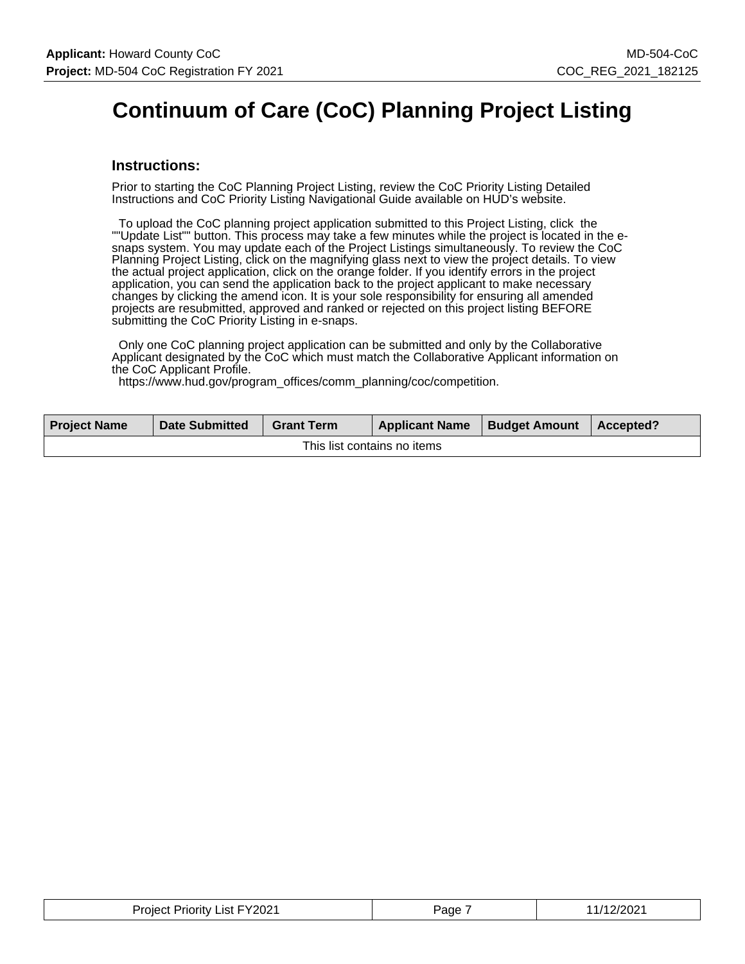## **Continuum of Care (CoC) Planning Project Listing**

#### **Instructions:**

Prior to starting the CoC Planning Project Listing, review the CoC Priority Listing Detailed Instructions and CoC Priority Listing Navigational Guide available on HUD's website.

 To upload the CoC planning project application submitted to this Project Listing, click the ""Update List"" button. This process may take a few minutes while the project is located in the esnaps system. You may update each of the Project Listings simultaneously. To review the CoC Planning Project Listing, click on the magnifying glass next to view the project details. To view the actual project application, click on the orange folder. If you identify errors in the project application, you can send the application back to the project applicant to make necessary changes by clicking the amend icon. It is your sole responsibility for ensuring all amended projects are resubmitted, approved and ranked or rejected on this project listing BEFORE submitting the CoC Priority Listing in e-snaps.

 Only one CoC planning project application can be submitted and only by the Collaborative Applicant designated by the CoC which must match the Collaborative Applicant information on the CoC Applicant Profile.

https://www.hud.gov/program\_offices/comm\_planning/coc/competition.

| <b>Project Name</b>         | <b>Date Submitted</b> | <b>Grant Term</b> | <b>Applicant Name</b> | <b>Budget Amount</b> | $\blacksquare$ Accepted? |  |
|-----------------------------|-----------------------|-------------------|-----------------------|----------------------|--------------------------|--|
| This list contains no items |                       |                   |                       |                      |                          |  |

| <b>Project Priority List FY2021</b><br>_____ | Page | 11/12/2021 |
|----------------------------------------------|------|------------|
|----------------------------------------------|------|------------|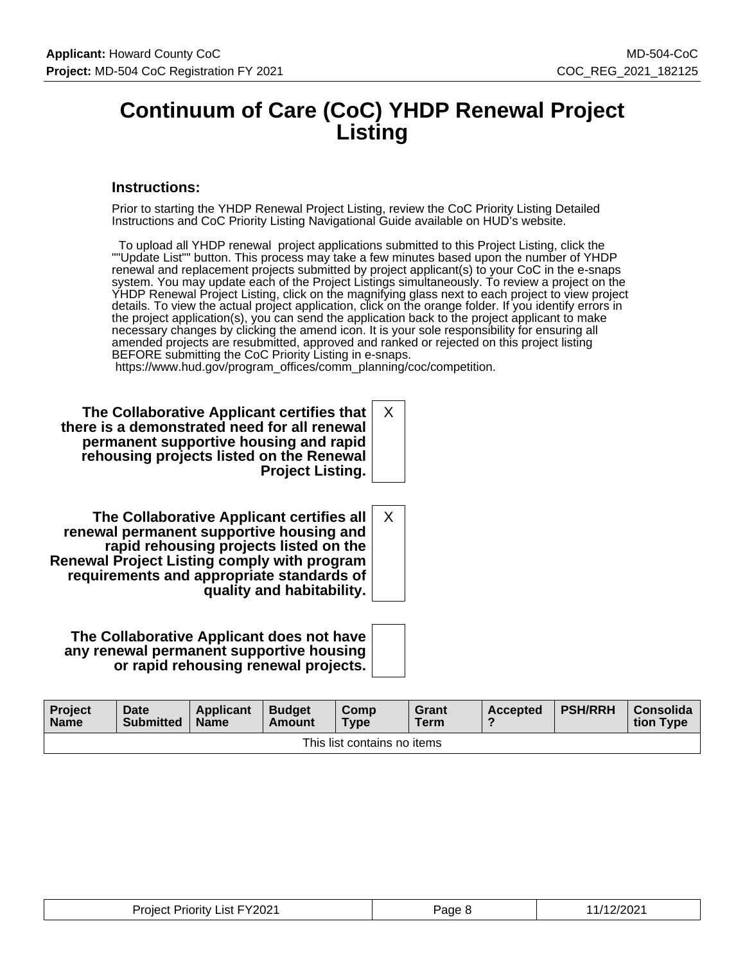### **Continuum of Care (CoC) YHDP Renewal Project Listing**

#### **Instructions:**

Prior to starting the YHDP Renewal Project Listing, review the CoC Priority Listing Detailed Instructions and CoC Priority Listing Navigational Guide available on HUD's website.

 To upload all YHDP renewal project applications submitted to this Project Listing, click the ""Update List"" button. This process may take a few minutes based upon the number of YHDP renewal and replacement projects submitted by project applicant(s) to your CoC in the e-snaps system. You may update each of the Project Listings simultaneously. To review a project on the YHDP Renewal Project Listing, click on the magnifying glass next to each project to view project details. To view the actual project application, click on the orange folder. If you identify errors in the project application(s), you can send the application back to the project applicant to make necessary changes by clicking the amend icon. It is your sole responsibility for ensuring all amended projects are resubmitted, approved and ranked or rejected on this project listing BEFORE submitting the CoC Priority Listing in e-snaps.

X

X

https://www.hud.gov/program\_offices/comm\_planning/coc/competition.

**The Collaborative Applicant certifies that there is a demonstrated need for all renewal permanent supportive housing and rapid rehousing projects listed on the Renewal Project Listing.**

**The Collaborative Applicant certifies all renewal permanent supportive housing and rapid rehousing projects listed on the Renewal Project Listing comply with program requirements and appropriate standards of quality and habitability.**

**The Collaborative Applicant does not have any renewal permanent supportive housing or rapid rehousing renewal projects.**

| <b>Project</b><br><b>Name</b> | <b>Date</b><br><b>Submitted</b> | <b>Applicant</b><br><b>Name</b> | <b>Budget</b><br>Amount | Comp<br>Type | Grant<br><b>Term</b> | <b>Accepted</b> | <b>PSH/RRH</b> | Consolida<br>tion Type |
|-------------------------------|---------------------------------|---------------------------------|-------------------------|--------------|----------------------|-----------------|----------------|------------------------|
| This list contains no items   |                                 |                                 |                         |              |                      |                 |                |                        |

| <b>Project Priority List FY2021</b> | <sup>o</sup> age 8 | 11/12/2021 |
|-------------------------------------|--------------------|------------|
|-------------------------------------|--------------------|------------|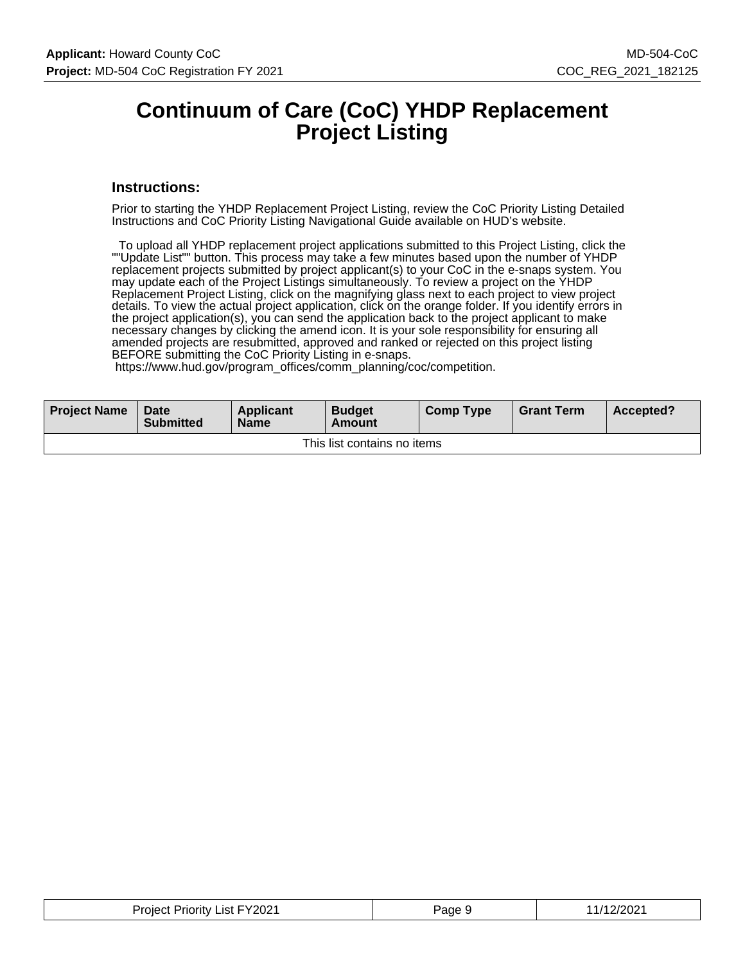### **Continuum of Care (CoC) YHDP Replacement Project Listing**

#### **Instructions:**

Prior to starting the YHDP Replacement Project Listing, review the CoC Priority Listing Detailed Instructions and CoC Priority Listing Navigational Guide available on HUD's website.

 To upload all YHDP replacement project applications submitted to this Project Listing, click the ""Update List"" button. This process may take a few minutes based upon the number of YHDP replacement projects submitted by project applicant(s) to your CoC in the e-snaps system. You may update each of the Project Listings simultaneously. To review a project on the YHDP Replacement Project Listing, click on the magnifying glass next to each project to view project details. To view the actual project application, click on the orange folder. If you identify errors in the project application(s), you can send the application back to the project applicant to make necessary changes by clicking the amend icon. It is your sole responsibility for ensuring all amended projects are resubmitted, approved and ranked or rejected on this project listing BEFORE submitting the CoC Priority Listing in e-snaps.

https://www.hud.gov/program\_offices/comm\_planning/coc/competition.

| <b>Project Name</b>         | Date<br><b>Submitted</b> | Applicant<br><b>Name</b> | <b>Budget</b><br>Amount | <b>Comp Type</b> | <b>Grant Term</b> | Accepted? |
|-----------------------------|--------------------------|--------------------------|-------------------------|------------------|-------------------|-----------|
| This list contains no items |                          |                          |                         |                  |                   |           |

| <b>Project Priority List FY2021</b> | Page | :/2021<br>- 74 |
|-------------------------------------|------|----------------|
|-------------------------------------|------|----------------|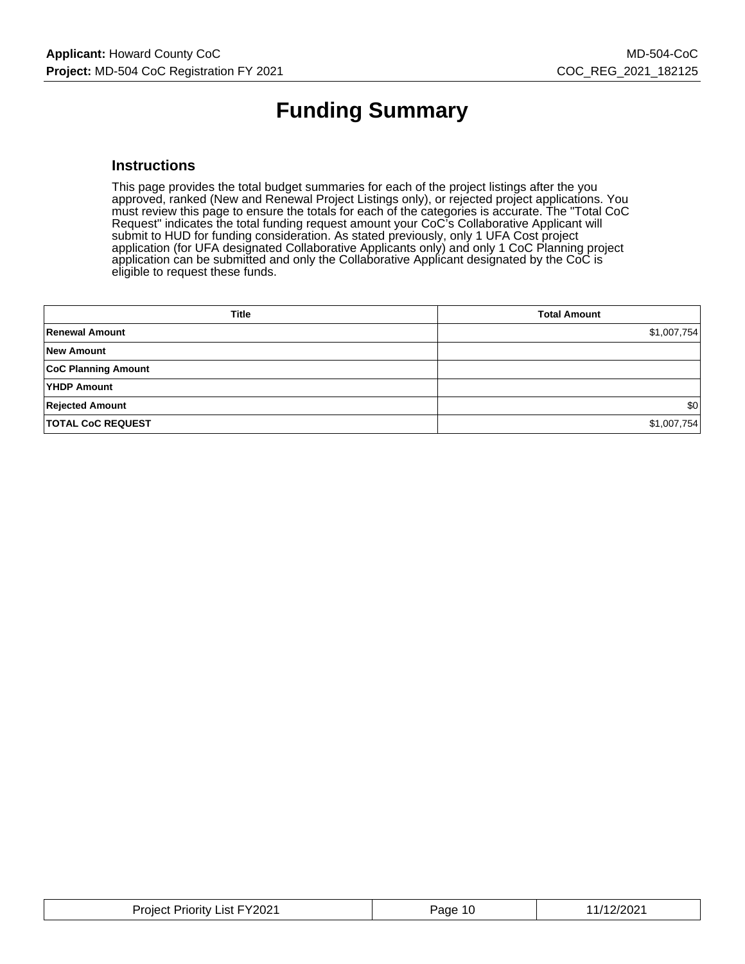# **Funding Summary**

#### **Instructions**

This page provides the total budget summaries for each of the project listings after the you approved, ranked (New and Renewal Project Listings only), or rejected project applications. You must review this page to ensure the totals for each of the categories is accurate. The "Total CoC Request" indicates the total funding request amount your CoC's Collaborative Applicant will submit to HUD for funding consideration. As stated previously, only 1 UFA Cost project application (for UFA designated Collaborative Applicants only) and only 1 CoC Planning project application can be submitted and only the Collaborative Applicant designated by the CoC is eligible to request these funds.

| <b>Title</b>               | <b>Total Amount</b> |
|----------------------------|---------------------|
| Renewal Amount             | \$1,007,754         |
| <b>New Amount</b>          |                     |
| <b>CoC Planning Amount</b> |                     |
| <b>YHDP Amount</b>         |                     |
| <b>Rejected Amount</b>     | \$0                 |
| <b>TOTAL CoC REQUEST</b>   | \$1,007,754         |

| <b>Project Priority List FY2021</b> | Page 10 | 11/12/2021 |
|-------------------------------------|---------|------------|
|-------------------------------------|---------|------------|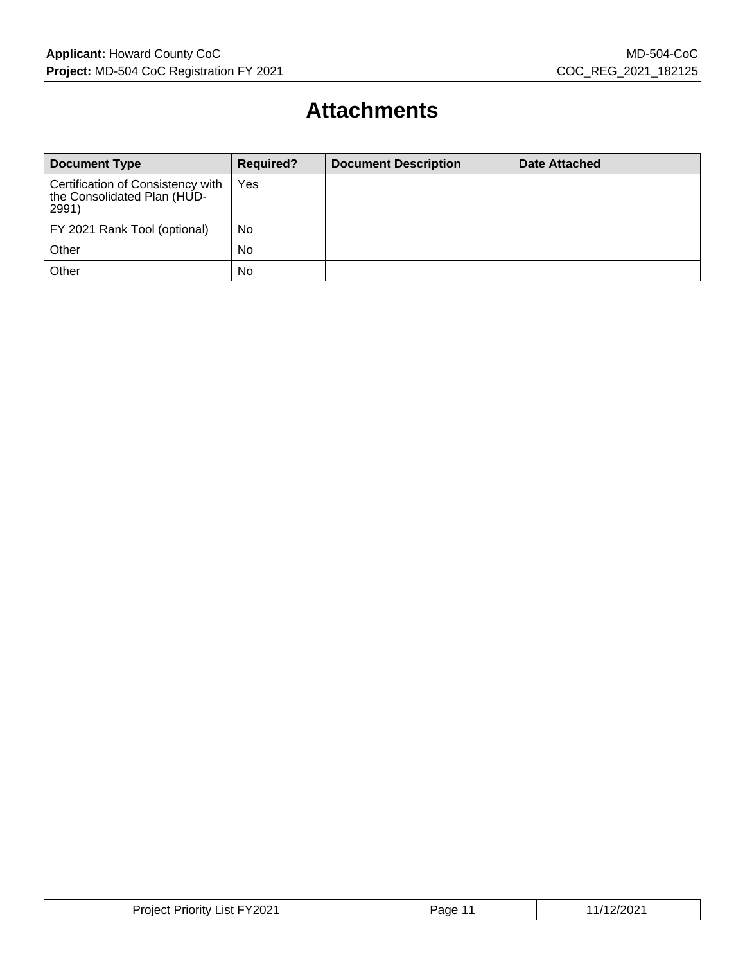### **Attachments**

| <b>Document Type</b>                                                      | <b>Required?</b> | <b>Document Description</b> | Date Attached |
|---------------------------------------------------------------------------|------------------|-----------------------------|---------------|
| Certification of Consistency with<br>the Consolidated Plan (HUD-<br>2991) | Yes              |                             |               |
| FY 2021 Rank Tool (optional)                                              | No               |                             |               |
| Other                                                                     | No               |                             |               |
| Other                                                                     | No               |                             |               |

| FY2021<br>Project<br>.ıst I<br>Priority | e∩ה? | ./202 |
|-----------------------------------------|------|-------|
|-----------------------------------------|------|-------|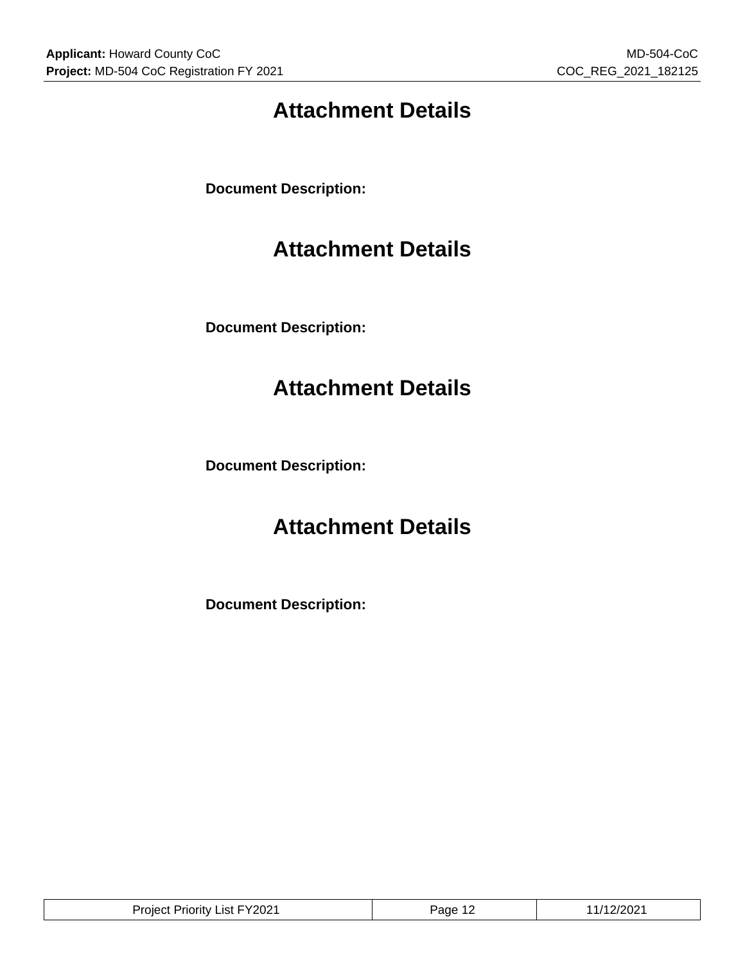# **Attachment Details**

**Document Description:**

### **Attachment Details**

**Document Description:**

## **Attachment Details**

**Document Description:**

### **Attachment Details**

**Document Description:**

| Project Priority List FY2021 | 'age | 2/2021 |
|------------------------------|------|--------|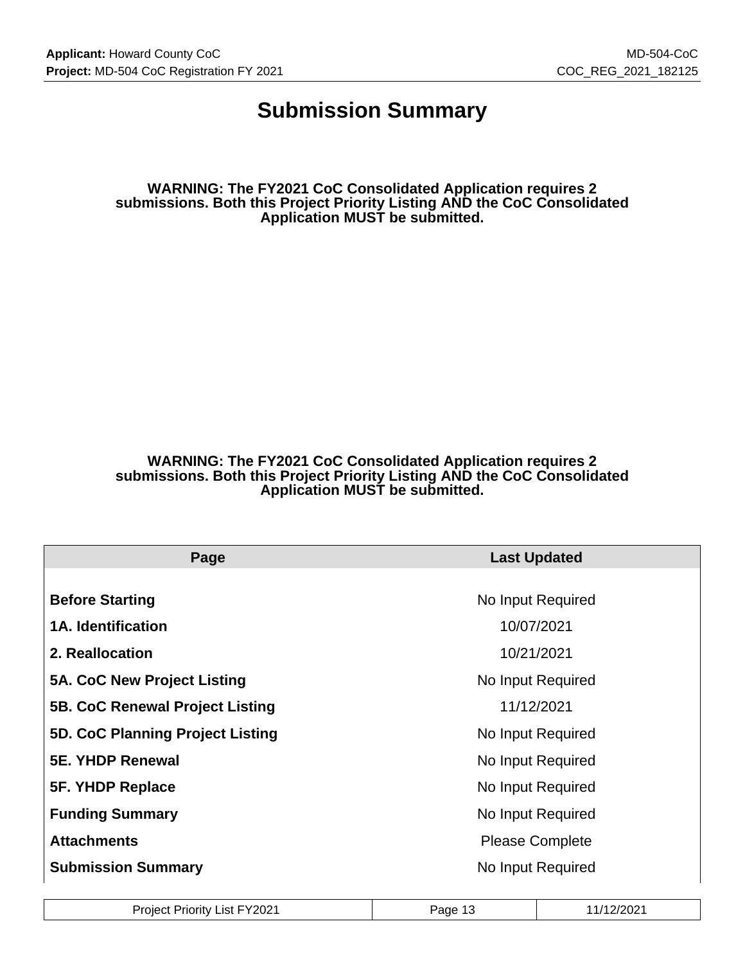### **Submission Summary**

**WARNING: The FY2021 CoC Consolidated Application requires 2 submissions. Both this Project Priority Listing AND the CoC Consolidated Application MUST be submitted.**

#### **WARNING: The FY2021 CoC Consolidated Application requires 2 submissions. Both this Project Priority Listing AND the CoC Consolidated Application MUST be submitted.**

| Page                             | <b>Last Updated</b>    |
|----------------------------------|------------------------|
|                                  |                        |
| <b>Before Starting</b>           | No Input Required      |
| <b>1A. Identification</b>        | 10/07/2021             |
| 2. Reallocation                  | 10/21/2021             |
| 5A. CoC New Project Listing      | No Input Required      |
| 5B. CoC Renewal Project Listing  | 11/12/2021             |
| 5D. CoC Planning Project Listing | No Input Required      |
| <b>5E. YHDP Renewal</b>          | No Input Required      |
| 5F. YHDP Replace                 | No Input Required      |
| <b>Funding Summary</b>           | No Input Required      |
| <b>Attachments</b>               | <b>Please Complete</b> |
| <b>Submission Summary</b>        | No Input Required      |

| Project Priority List FY2021 | Page 13<br>- 10 | 11/12/2021 |
|------------------------------|-----------------|------------|
|------------------------------|-----------------|------------|